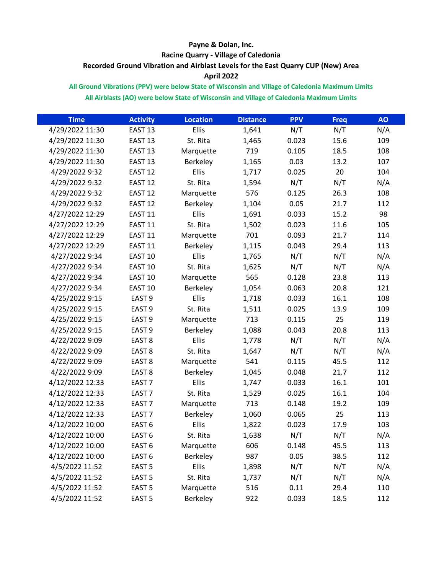## **Payne & Dolan, Inc. Racine Quarry - Village of Caledonia Recorded Ground Vibration and Airblast Levels for the East Quarry CUP (New) Area April 2022**

## **All Ground Vibrations (PPV) were below State of Wisconsin and Village of Caledonia Maximum Limits All Airblasts (AO) were below State of Wisconsin and Village of Caledonia Maximum Limits**

| <b>Time</b>     | <b>Activity</b>    | <b>Location</b> | <b>Distance</b> | <b>PPV</b> | Freq | <b>AO</b> |
|-----------------|--------------------|-----------------|-----------------|------------|------|-----------|
| 4/29/2022 11:30 | EAST <sub>13</sub> | Ellis           | 1,641           | N/T        | N/T  | N/A       |
| 4/29/2022 11:30 | EAST <sub>13</sub> | St. Rita        | 1,465           | 0.023      | 15.6 | 109       |
| 4/29/2022 11:30 | EAST <sub>13</sub> | Marquette       | 719             | 0.105      | 18.5 | 108       |
| 4/29/2022 11:30 | EAST <sub>13</sub> | Berkeley        | 1,165           | 0.03       | 13.2 | 107       |
| 4/29/2022 9:32  | EAST <sub>12</sub> | Ellis           | 1,717           | 0.025      | 20   | 104       |
| 4/29/2022 9:32  | EAST <sub>12</sub> | St. Rita        | 1,594           | N/T        | N/T  | N/A       |
| 4/29/2022 9:32  | EAST <sub>12</sub> | Marquette       | 576             | 0.125      | 26.3 | 108       |
| 4/29/2022 9:32  | EAST <sub>12</sub> | Berkeley        | 1,104           | 0.05       | 21.7 | 112       |
| 4/27/2022 12:29 | EAST <sub>11</sub> | Ellis           | 1,691           | 0.033      | 15.2 | 98        |
| 4/27/2022 12:29 | EAST <sub>11</sub> | St. Rita        | 1,502           | 0.023      | 11.6 | 105       |
| 4/27/2022 12:29 | EAST <sub>11</sub> | Marquette       | 701             | 0.093      | 21.7 | 114       |
| 4/27/2022 12:29 | EAST <sub>11</sub> | Berkeley        | 1,115           | 0.043      | 29.4 | 113       |
| 4/27/2022 9:34  | EAST <sub>10</sub> | Ellis           | 1,765           | N/T        | N/T  | N/A       |
| 4/27/2022 9:34  | EAST <sub>10</sub> | St. Rita        | 1,625           | N/T        | N/T  | N/A       |
| 4/27/2022 9:34  | EAST <sub>10</sub> | Marquette       | 565             | 0.128      | 23.8 | 113       |
| 4/27/2022 9:34  | EAST <sub>10</sub> | Berkeley        | 1,054           | 0.063      | 20.8 | 121       |
| 4/25/2022 9:15  | EAST <sub>9</sub>  | Ellis           | 1,718           | 0.033      | 16.1 | 108       |
| 4/25/2022 9:15  | EAST <sub>9</sub>  | St. Rita        | 1,511           | 0.025      | 13.9 | 109       |
| 4/25/2022 9:15  | EAST <sub>9</sub>  | Marquette       | 713             | 0.115      | 25   | 119       |
| 4/25/2022 9:15  | EAST <sub>9</sub>  | Berkeley        | 1,088           | 0.043      | 20.8 | 113       |
| 4/22/2022 9:09  | EAST <sub>8</sub>  | Ellis           | 1,778           | N/T        | N/T  | N/A       |
| 4/22/2022 9:09  | EAST <sub>8</sub>  | St. Rita        | 1,647           | N/T        | N/T  | N/A       |
| 4/22/2022 9:09  | EAST <sub>8</sub>  | Marquette       | 541             | 0.115      | 45.5 | 112       |
| 4/22/2022 9:09  | EAST <sub>8</sub>  | Berkeley        | 1,045           | 0.048      | 21.7 | 112       |
| 4/12/2022 12:33 | EAST <sub>7</sub>  | Ellis           | 1,747           | 0.033      | 16.1 | 101       |
| 4/12/2022 12:33 | EAST <sub>7</sub>  | St. Rita        | 1,529           | 0.025      | 16.1 | 104       |
| 4/12/2022 12:33 | EAST <sub>7</sub>  | Marquette       | 713             | 0.148      | 19.2 | 109       |
| 4/12/2022 12:33 | EAST <sub>7</sub>  | Berkeley        | 1,060           | 0.065      | 25   | 113       |
| 4/12/2022 10:00 | EAST <sub>6</sub>  | Ellis           | 1,822           | 0.023      | 17.9 | 103       |
| 4/12/2022 10:00 | EAST <sub>6</sub>  | St. Rita        | 1,638           | N/T        | N/T  | N/A       |
| 4/12/2022 10:00 | EAST <sub>6</sub>  | Marquette       | 606             | 0.148      | 45.5 | 113       |
| 4/12/2022 10:00 | EAST <sub>6</sub>  | Berkeley        | 987             | 0.05       | 38.5 | 112       |
| 4/5/2022 11:52  | EAST <sub>5</sub>  | Ellis           | 1,898           | N/T        | N/T  | N/A       |
| 4/5/2022 11:52  | EAST <sub>5</sub>  | St. Rita        | 1,737           | N/T        | N/T  | N/A       |
| 4/5/2022 11:52  | EAST <sub>5</sub>  | Marquette       | 516             | 0.11       | 29.4 | 110       |
| 4/5/2022 11:52  | EAST <sub>5</sub>  | Berkeley        | 922             | 0.033      | 18.5 | 112       |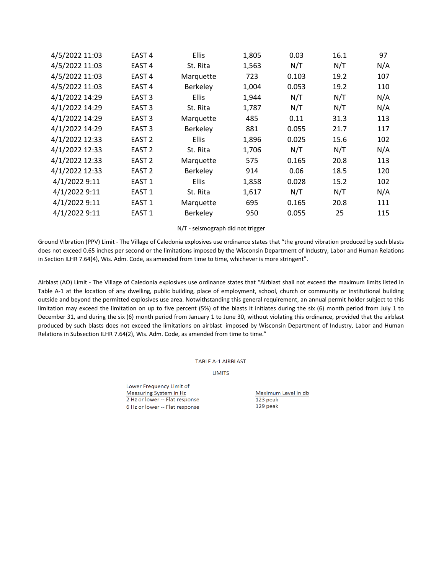| 4/5/2022 11:03 | EAST <sub>4</sub> | Ellis     | 1,805 | 0.03  | 16.1 | 97  |
|----------------|-------------------|-----------|-------|-------|------|-----|
| 4/5/2022 11:03 | EAST <sub>4</sub> | St. Rita  | 1,563 | N/T   | N/T  | N/A |
| 4/5/2022 11:03 | EAST <sub>4</sub> | Marquette | 723   | 0.103 | 19.2 | 107 |
| 4/5/2022 11:03 | EAST <sub>4</sub> | Berkeley  | 1,004 | 0.053 | 19.2 | 110 |
| 4/1/2022 14:29 | EAST <sub>3</sub> | Ellis     | 1,944 | N/T   | N/T  | N/A |
| 4/1/2022 14:29 | EAST <sub>3</sub> | St. Rita  | 1,787 | N/T   | N/T  | N/A |
| 4/1/2022 14:29 | EAST <sub>3</sub> | Marquette | 485   | 0.11  | 31.3 | 113 |
| 4/1/2022 14:29 | EAST <sub>3</sub> | Berkeley  | 881   | 0.055 | 21.7 | 117 |
| 4/1/2022 12:33 | EAST <sub>2</sub> | Ellis     | 1,896 | 0.025 | 15.6 | 102 |
| 4/1/2022 12:33 | EAST <sub>2</sub> | St. Rita  | 1,706 | N/T   | N/T  | N/A |
| 4/1/2022 12:33 | EAST 2            | Marquette | 575   | 0.165 | 20.8 | 113 |
| 4/1/2022 12:33 | EAST <sub>2</sub> | Berkeley  | 914   | 0.06  | 18.5 | 120 |
| 4/1/2022 9:11  | EAST <sub>1</sub> | Ellis     | 1,858 | 0.028 | 15.2 | 102 |
| 4/1/2022 9:11  | EAST <sub>1</sub> | St. Rita  | 1,617 | N/T   | N/T  | N/A |
| 4/1/2022 9:11  | EAST <sub>1</sub> | Marquette | 695   | 0.165 | 20.8 | 111 |
| 4/1/2022 9:11  | EAST <sub>1</sub> | Berkeley  | 950   | 0.055 | 25   | 115 |

N/T - seismograph did not trigger

Ground Vibration (PPV) Limit - The Village of Caledonia explosives use ordinance states that "the ground vibration produced by such blasts does not exceed 0.65 inches per second or the limitations imposed by the Wisconsin Department of Industry, Labor and Human Relations in Section ILHR 7.64(4), Wis. Adm. Code, as amended from time to time, whichever is more stringent".

Airblast (AO) Limit - The Village of Caledonia explosives use ordinance states that "Airblast shall not exceed the maximum limits listed in Table A-1 at the location of any dwelling, public building, place of employment, school, church or community or institutional building outside and beyond the permitted explosives use area. Notwithstanding this general requirement, an annual permit holder subject to this limitation may exceed the limitation on up to five percent (5%) of the blasts it initiates during the six (6) month period from July 1 to December 31, and during the six (6) month period from January 1 to June 30, without violating this ordinance, provided that the airblast produced by such blasts does not exceed the limitations on airblast imposed by Wisconsin Department of Industry, Labor and Human Relations in Subsection ILHR 7.64(2), Wis. Adm. Code, as amended from time to time."

## **TABLE A-1 AIRBLAST**

**LIMITS** 

Lower Frequency Limit of Measuring System in Hz 2 Hz or lower -- Flat response 6 Hz or lower -- Flat response

Maximum Level in db 123 peak 129 peak